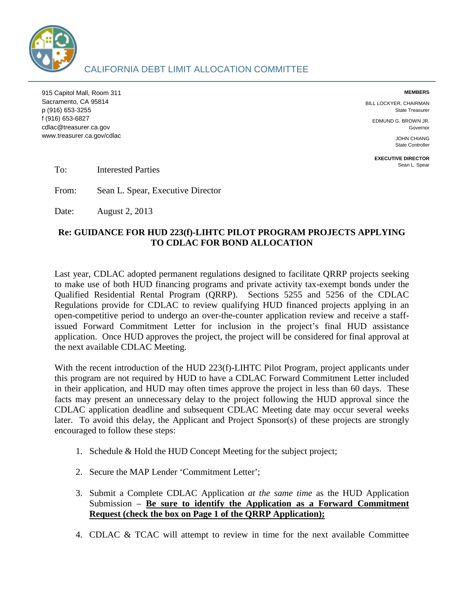

915 Capitol Mall, Room 311 **MEMBERS**  Sacramento, CA 95814 BILL LOCKYER, CHAIRMAN p (916) 653-3255 State Treasurer f (916) 653-6827 EDMUND G. BROWN JR. cdlac@treasurer.ca.gov Governor Communication of the control of the control of the control of the control of the control of the control of the control of the control of the control of the control of the control of the cont WWW.treasurer.ca.gov/cdlac JOHN CHIANG JOHN CHIANG JOHN CHIANG JOHN CHIANG JOHN CHIANG

State Controller

**EXECUTIVE DIRECTOR** 

 $To:$ Interested Parties and Sean L. Spear L. Spear L. Spear L. Spear L. Spear L. Spear

From: Sean L. Spear, Executive Director

Date: August 2, 2013

## **Re: GUIDANCE FOR HUD 223(f)-LIHTC PILOT PROGRAM PROJECTS APPLYING TO CDLAC FOR BOND ALLOCATION**

Last year, CDLAC adopted permanent regulations designed to facilitate QRRP projects seeking to make use of both HUD financing programs and private activity tax-exempt bonds under the Qualified Residential Rental Program (QRRP). Sections 5255 and 5256 of the CDLAC Regulations provide for CDLAC to review qualifying HUD financed projects applying in an open-competitive period to undergo an over-the-counter application review and receive a staffissued Forward Commitment Letter for inclusion in the project's final HUD assistance application. Once HUD approves the project, the project will be considered for final approval at the next available CDLAC Meeting.

With the recent introduction of the HUD 223(f)-LIHTC Pilot Program, project applicants under this program are not required by HUD to have a CDLAC Forward Commitment Letter included in their application, and HUD may often times approve the project in less than 60 days. These facts may present an unnecessary delay to the project following the HUD approval since the CDLAC application deadline and subsequent CDLAC Meeting date may occur several weeks later. To avoid this delay, the Applicant and Project Sponsor(s) of these projects are strongly encouraged to follow these steps:

- 1. Schedule & Hold the HUD Concept Meeting for the subject project;
- 2. Secure the MAP Lender 'Commitment Letter';
- 3. Submit a Complete CDLAC Application *at the same time* as the HUD Application Submission – **Be sure to identify the Application as a Forward Commitment Request (check the box on Page 1 of the QRRP Application);**
- 4. CDLAC & TCAC will attempt to review in time for the next available Committee